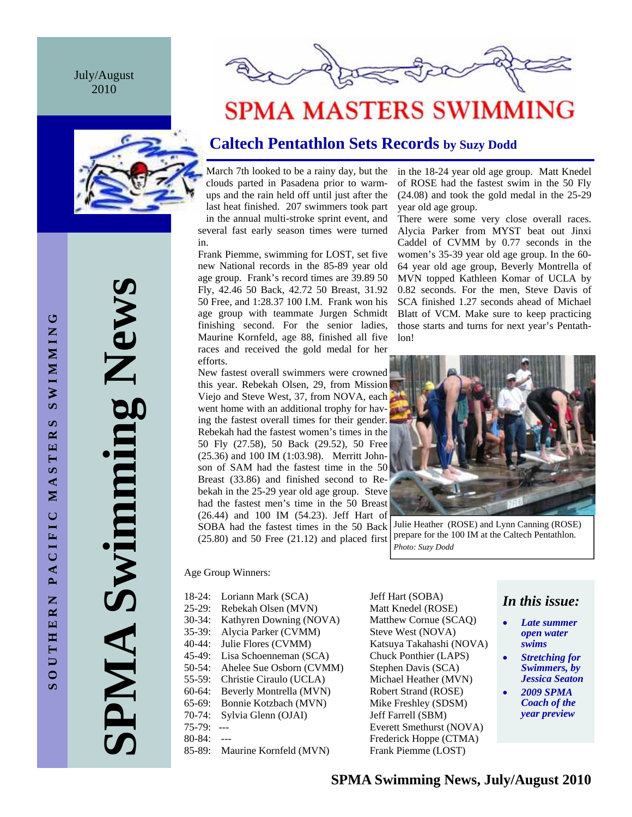July/August 2010





# **SPMA MASTERS SWIMMING**

## **Caltech Pentathlon Sets Records by Suzy Dodd**

March 7th looked to be a rainy day, but the clouds parted in Pasadena prior to warmups and the rain held off until just after the last heat finished. 207 swimmers took part in the annual multi-stroke sprint event, and several fast early season times were turned in.

Frank Piemme, swimming for LOST, set five new National records in the 85-89 year old age group. Frank's record times are 39.89 50 Fly, 42.46 50 Back, 42.72 50 Breast, 31.92 50 Free, and 1:28.37 100 I.M. Frank won his age group with teammate Jurgen Schmidt finishing second. For the senior ladies, Maurine Kornfeld, age 88, finished all five races and received the gold medal for her efforts.

New fastest overall swimmers were crowned this year. Rebekah Olsen, 29, from Mission Viejo and Steve West, 37, from NOVA, each went home with an additional trophy for having the fastest overall times for their gender. Rebekah had the fastest women's times in the 50 Fly (27.58), 50 Back (29.52), 50 Free (25.36) and 100 IM (1:03.98). Merritt Johnson of SAM had the fastest time in the 50 Breast (33.86) and finished second to Rebekah in the 25-29 year old age group. Steve had the fastest men's time in the 50 Breast (26.44) and 100 IM (54.23). Jeff Hart of SOBA had the fastest times in the 50 Back  $(25.80)$  and 50 Free  $(21.12)$  and placed first

in the 18-24 year old age group. Matt Knedel of ROSE had the fastest swim in the 50 Fly (24.08) and took the gold medal in the 25-29 year old age group. There were some very close overall races.

Alycia Parker from MYST beat out Jinxi Caddel of CVMM by 0.77 seconds in the women's 35-39 year old age group. In the 60- 64 year old age group, Beverly Montrella of MVN topped Kathleen Komar of UCLA by 0.82 seconds. For the men, Steve Davis of SCA finished 1.27 seconds ahead of Michael Blatt of VCM. Make sure to keep practicing those starts and turns for next year's Pentathlon!



Julie Heather (ROSE) and Lynn Canning (ROSE) prepare for the 100 IM at the Caltech Pentathlon. *Photo: Suzy Dodd* 

Age Group Winners:

18-24: Loriann Mark (SCA) Jeff Hart (SOBA) 25-29: Rebekah Olsen (MVN) Matt Knedel (ROSE) 30-34: Kathyren Downing (NOVA) Matthew Cornue (SCAQ) 35-39: Alycia Parker (CVMM) Steve West (NOVA) 40-44: Julie Flores (CVMM) Katsuya Takahashi (NOVA) 45-49: Lisa Schoenneman (SCA) Chuck Ponthier (LAPS) 50-54: Ahelee Sue Osborn (CVMM) Stephen Davis (SCA) 55-59: Christie Ciraulo (UCLA) Michael Heather (MVN) 60-64: Beverly Montrella (MVN) Robert Strand (ROSE) 65-69: Bonnie Kotzbach (MVN) Mike Freshley (SDSM) 70-74: Sylvia Glenn (OJAI) Jeff Farrell (SBM) 75-79: --- Everett Smethurst (NOVA) 80-84: --- Frederick Hoppe (CTMA)

85-89: Maurine Kornfeld (MVN) Frank Piemme (LOST)

## *In this issue:*

- *Late summer open water swims*
- *Stretching for Swimmers, by Jessica Seaton*
- *2009 SPMA Coach of the year preview*

**SPMA Swimming News**  PMA Swimming News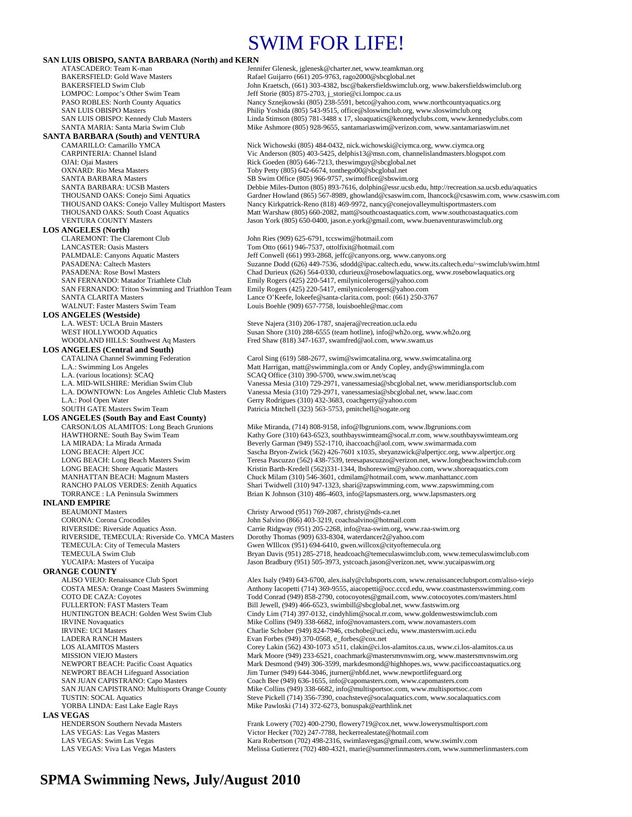## SWIM FOR LIFE!

| SAN LUIS OBISPO, SANTA BARBARA (North) and KERN                             |                                                                                                                                                           |
|-----------------------------------------------------------------------------|-----------------------------------------------------------------------------------------------------------------------------------------------------------|
| ATASCADERO: Team K-man                                                      | Jennifer Glenesk, jglenesk@charter.net, www.teamkman.org                                                                                                  |
| <b>BAKERSFIELD: Gold Wave Masters</b><br><b>BAKERSFIELD Swim Club</b>       | Rafael Guijarro (661) 205-9763, rago2000@sbcglobal.net<br>John Kraetsch, (661) 303-4382, bsc@bakersfieldswimclub.org, www.bakersfieldswimclub.org         |
| LOMPOC: Lompoc's Other Swim Team                                            | Jeff Storie (805) 875-2703, j_storie@ci.lompoc.ca.us                                                                                                      |
| PASO ROBLES: North County Aquatics                                          | Nancy Sznejkowski (805) 238-5591, betco@yahoo.com, www.northcountyaquatics.org                                                                            |
| <b>SAN LUIS OBISPO Masters</b>                                              | Philip Yoshida (805) 543-9515, office@sloswimclub.org, www.sloswimclub.org                                                                                |
| SAN LUIS OBISPO: Kennedy Club Masters                                       | Linda Stimson (805) 781-3488 x 17, sloaguatics@kennedyclubs.com, www.kennedyclubs.com                                                                     |
| SANTA MARIA: Santa Maria Swim Club                                          | Mike Ashmore (805) 928-9655, santamariaswim@verizon.com, www.santamariaswim.net                                                                           |
| <b>SANTA BARBARA (South) and VENTURA</b>                                    |                                                                                                                                                           |
| CAMARILLO: Camarillo YMCA                                                   | Nick Wichowski (805) 484-0432, nick.wichowski@ciymca.org, www.ciymca.org                                                                                  |
| CARPINTERIA: Channel Island<br>OJAI: Ojai Masters                           | Vic Anderson (805) 403-5425, delphis13@msn.com, channelislandmasters.blogspot.com<br>Rick Goeden (805) 646-7213, the swimguy@sbcglobal.net                |
| <b>OXNARD: Rio Mesa Masters</b>                                             | Toby Petty (805) 642-6674, tonthego00@sbcglobal.net                                                                                                       |
| <b>SANTA BARBARA Masters</b>                                                | SB Swim Office (805) 966-9757, swimoffice@sbswim.org                                                                                                      |
| <b>SANTA BARBARA: UCSB Masters</b>                                          | Debbie Miles-Dutton (805) 893-7616, dolphin@essr.ucsb.edu, http://recreation.sa.ucsb.edu/aquatics                                                         |
| THOUSAND OAKS: Conejo Simi Aquatics                                         | Gardner Howland (865) 567-8989, ghowland@csaswim.com, lhancock@csaswim.com, www.csaswim.com                                                               |
| <b>THOUSAND OAKS: Conejo Valley Multisport Masters</b>                      | Nancy Kirkpatrick-Reno (818) 469-9972, nancy@conejovalleymultisportmasters.com                                                                            |
| THOUSAND OAKS: South Coast Aquatics                                         | Matt Warshaw (805) 660-2082, matt@southcoastaquatics.com, www.southcoastaquatics.com                                                                      |
| <b>VENTURA COUNTY Masters</b>                                               | Jason York (805) 650-0400, jason.e.york@gmail.com, www.buenaventuraswimclub.org                                                                           |
| <b>LOS ANGELES (North)</b>                                                  |                                                                                                                                                           |
| <b>CLAREMONT: The Claremont Club</b><br><b>LANCASTER: Oasis Masters</b>     | John Ries (909) 625-6791, tccswim@hotmail.com<br>Tom Otto (661) 946-7537, ottolfixit@hotmail.com                                                          |
| <b>PALMDALE: Canyons Aquatic Masters</b>                                    | Jeff Conwell (661) 993-2868, jeffc@canyons.org, www.canyons.org                                                                                           |
| PASADENA: Caltech Masters                                                   | Suzanne Dodd (626) 449-7536, sdodd@ipac.caltech.edu, www.its.caltech.edu/~swimclub/swim.html                                                              |
| PASADENA: Rose Bowl Masters                                                 | Chad Durieux (626) 564-0330, cdurieux@rosebowlaquatics.org, www.rosebowlaquatics.org                                                                      |
| SAN FERNANDO: Matador Triathlete Club                                       | Emily Rogers (425) 220-5417, emilynicolerogers@yahoo.com                                                                                                  |
| SAN FERNANDO: Triton Swimming and Triathlon Team                            | Emily Rogers (425) 220-5417, emilynicolerogers@yahoo.com                                                                                                  |
| <b>SANTA CLARITA Masters</b>                                                | Lance O'Keefe, lokeefe@santa-clarita.com, pool: (661) 250-3767                                                                                            |
| WALNUT: Faster Masters Swim Team                                            | Louis Boehle (909) 657-7758, louisboehle@mac.com                                                                                                          |
| <b>LOS ANGELES</b> (Westside)<br>L.A. WEST: UCLA Bruin Masters              | Steve Najera (310) 206-1787, snajera@recreation.ucla.edu                                                                                                  |
| WEST HOLLYWOOD Aquatics                                                     | Susan Shore (310) 288-6555 (team hotline), info@wh2o.org, www.wh2o.org                                                                                    |
| <b>WOODLAND HILLS: Southwest Aq Masters</b>                                 | Fred Shaw (818) 347-1637, swamfred@aol.com, www.swam.us                                                                                                   |
| <b>LOS ANGELES</b> (Central and South)                                      |                                                                                                                                                           |
| <b>CATALINA Channel Swimming Federation</b>                                 | Carol Sing (619) 588-2677, swim@swimcatalina.org, www.swimcatalina.org                                                                                    |
| L.A.: Swimming Los Angeles                                                  | Matt Harrigan, matt@swimmingla.com or Andy Copley, andy@swimmingla.com                                                                                    |
| L.A. (various locations): SCAQ                                              | SCAQ Office (310) 390-5700, www.swim.net/scaq                                                                                                             |
| L.A. MID-WILSHIRE: Meridian Swim Club                                       | Vanessa Mesia (310) 729-2971, vanessamesia@sbcglobal.net, www.meridiansportsclub.com                                                                      |
| L.A. DOWNTOWN: Los Angeles Athletic Club Masters<br>L.A.: Pool Open Water   | Vanessa Mesia (310) 729-2971, vanessamesia@sbcglobal.net, www.laac.com<br>Gerry Rodrigues (310) 432-3683, coachgerry@yahoo.com                            |
| <b>SOUTH GATE Masters Swim Team</b>                                         | Patricia Mitchell (323) 563-5753, pmitchell@sogate.org                                                                                                    |
| <b>LOS ANGELES (South Bay and East County)</b>                              |                                                                                                                                                           |
| CARSON/LOS ALAMITOS: Long Beach Grunions                                    | Mike Miranda, (714) 808-9158, info@lbgrunions.com, www.lbgrunions.com                                                                                     |
| HAWTHORNE: South Bay Swim Team                                              | Kathy Gore (310) 643-6523, southbayswimteam@socal.rr.com, www.southbayswimteam.org                                                                        |
| LA MIRADA: La Mirada Armada                                                 | Beverly Garman (949) 552-1710, ihaccoach@aol.com, www.swimarmada.com                                                                                      |
| LONG BEACH: Alpert JCC                                                      | Sascha Bryon-Zwick (562) 426-7601 x1035, sbryanzwick@alpertjcc.org, www.alpertjcc.org                                                                     |
| LONG BEACH: Long Beach Masters Swim                                         | Teresa Pascuzzo (562) 438-7539, teresapascuzzo@verizon.net, www.longbeachswimclub.com                                                                     |
| LONG BEACH: Shore Aquatic Masters<br><b>MANHATTAN BEACH: Magnum Masters</b> | Kristin Barth-Kredell (562)331-1344, lbshoreswim@yahoo.com, www.shoreaquatics.com<br>Chuck Milam (310) 546-3601, cdmilam@hotmail.com, www.manhattancc.com |
| RANCHO PALOS VERDES: Zenith Aquatics                                        | Shari Twidwell (310) 947-1323, shari@zapswimming.com, www.zapswimming.com                                                                                 |
| TORRANCE : LA Peninsula Swimmers                                            | Brian K Johnson (310) 486-4603, info@lapsmasters.org, www.lapsmasters.org                                                                                 |
| <b>INLAND EMPIRE</b>                                                        |                                                                                                                                                           |
| <b>BEAUMONT Masters</b>                                                     | Christy Arwood (951) 769-2087, christy@nds-ca.net                                                                                                         |
| <b>CORONA: Corona Crocodiles</b>                                            | John Salvino (866) 403-3219, coachsalvino@hotmail.com                                                                                                     |
| RIVERSIDE: Riverside Aquatics Assn.                                         | Carrie Ridgway (951) 205-2268, info@raa-swim.org, www.raa-swim.org                                                                                        |
| RIVERSIDE, TEMECULA: Riverside Co. YMCA Masters                             | Dorothy Thomas (909) 633-8304, waterdancer2@yahoo.com                                                                                                     |
| TEMECULA: City of Temecula Masters<br><b>TEMECULA Swim Club</b>             | Gwen WIllcox (951) 694-6410, gwen.willcox@cityoftemecula.org<br>Bryan Davis (951) 285-2718, headcoach@temeculaswimclub.com, www.temeculaswimclub.com      |
| YUCAIPA: Masters of Yucaipa                                                 | Jason Bradbury (951) 505-3973, ystcoach.jason@verizon.net, www.yucaipaswim.org                                                                            |
| <b>ORANGE COUNTY</b>                                                        |                                                                                                                                                           |
| ALISO VIEJO: Renaissance Club Sport                                         | Alex Isaly (949) 643-6700, alex.isaly@clubsports.com, www.renaissanceclubsport.com/aliso-viejo                                                            |
| COSTA MESA: Orange Coast Masters Swimming                                   | Anthony Iacopetti (714) 369-9555, aiacopetti@occ.cccd.edu, www.coastmastersswimming.com                                                                   |
| COTO DE CAZA: Coyotes                                                       | Todd Conrad (949) 858-2790, cotocoyotes@gmail.com, www.cotocoyotes.com/masters.html                                                                       |
| FULLERTON: FAST Masters Team                                                | Bill Jewell, (949) 466-6523, swimbill@sbcglobal.net, www.fastswim.org                                                                                     |
| HUNTINGTON BEACH: Golden West Swim Club                                     | Cindy Lim (714) 397-0132, cindyhlim@socal.rr.com, www.goldenwestswimclub.com                                                                              |
| <b>IRVINE</b> Novaquatics                                                   | Mike Collins (949) 338-6682, info@novamasters.com, www.novamasters.com                                                                                    |
| <b>IRVINE: UCI Masters</b><br><b>LADERA RANCH Masters</b>                   | Charlie Schober (949) 824-7946, ctschobe@uci.edu, www.masterswim.uci.edu<br>Evan Forbes (949) 370-0568, e_forbes@cox.net                                  |
| <b>LOS ALAMITOS Masters</b>                                                 | Corey Lakin (562) 430-1073 x511, clakin@ci.los-alamitos.ca.us, www.ci.los-alamitos.ca.us                                                                  |
| <b>MISSION VIEJO Masters</b>                                                | Mark Moore (949) 233-6521, coachmark@mastersmvnswim.org, www.mastersmvnswim.org                                                                           |
| <b>NEWPORT BEACH: Pacific Coast Aquatics</b>                                | Mark Desmond (949) 306-3599, markdesmond@highhopes.ws, www.pacificcoastaquatics.org                                                                       |
| <b>NEWPORT BEACH Lifeguard Association</b>                                  | Jim Turner (949) 644-3046, jturner@nbfd.net, www.newportlifeguard.org                                                                                     |
| SAN JUAN CAPISTRANO: Capo Masters                                           | Coach Bee (949) 636-1655, info@capomasters.com, www.capomasters.com                                                                                       |
| SAN JUAN CAPISTRANO: Multisports Orange County                              | Mike Collins (949) 338-6682, info@multisportsoc.com, www.multisportsoc.com                                                                                |
| <b>TUSTIN: SOCAL Aquatics</b><br>YORBA LINDA: East Lake Eagle Rays          | Steve Pickell (714) 356-7390, coachsteve@socalaquatics.com, www.socalaquatics.com<br>Mike Pawloski (714) 372-6273, bonuspak@earthlink.net                 |
| <b>LAS VEGAS</b>                                                            |                                                                                                                                                           |
| HENDERSON Southern Nevada Masters                                           | Frank Lowery (702) 400-2790, flowery719@cox.net, www.lowerysmultisport.com                                                                                |
| LAS VEGAS: Las Vegas Masters                                                | Victor Hecker (702) 247-7788, heckerrealestate@hotmail.com                                                                                                |
| LAS VEGAS: Swim Las Vegas                                                   | Kara Robertson (702) 498-2316, swimlasvegas@gmail.com, www.swimlv.com                                                                                     |
| LAS VEGAS: Viva Las Vegas Masters                                           | Melissa Gutierrez (702) 480-4321, marie@summerlinmasters.com, www.summerlinmasters.com                                                                    |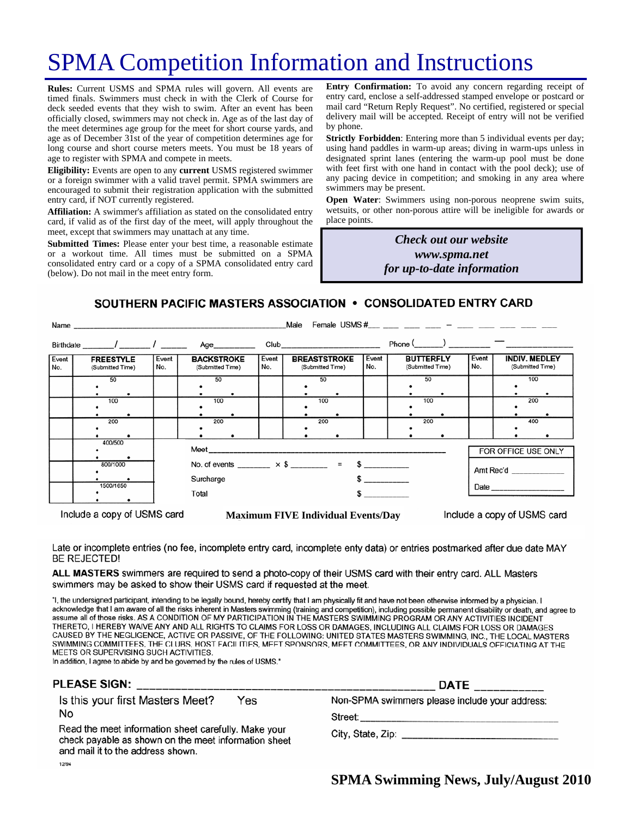# SPMA Competition Information and Instructions

**Rules:** Current USMS and SPMA rules will govern. All events are timed finals. Swimmers must check in with the Clerk of Course for deck seeded events that they wish to swim. After an event has been officially closed, swimmers may not check in. Age as of the last day of the meet determines age group for the meet for short course yards, and age as of December 31st of the year of competition determines age for long course and short course meters meets. You must be 18 years of age to register with SPMA and compete in meets.

**Eligibility:** Events are open to any **current** USMS registered swimmer or a foreign swimmer with a valid travel permit. SPMA swimmers are encouraged to submit their registration application with the submitted entry card, if NOT currently registered.

**Affiliation:** A swimmer's affiliation as stated on the consolidated entry card, if valid as of the first day of the meet, will apply throughout the meet, except that swimmers may unattach at any time.

**Submitted Times:** Please enter your best time, a reasonable estimate or a workout time. All times must be submitted on a SPMA consolidated entry card or a copy of a SPMA consolidated entry card (below). Do not mail in the meet entry form.

**Entry Confirmation:** To avoid any concern regarding receipt of entry card, enclose a self-addressed stamped envelope or postcard or mail card "Return Reply Request". No certified, registered or special delivery mail will be accepted. Receipt of entry will not be verified by phone.

**Strictly Forbidden**: Entering more than 5 individual events per day; using hand paddles in warm-up areas; diving in warm-ups unless in designated sprint lanes (entering the warm-up pool must be done with feet first with one hand in contact with the pool deck); use of any pacing device in competition; and smoking in any area where swimmers may be present.

**Open Water**: Swimmers using non-porous neoprene swim suits, wetsuits, or other non-porous attire will be ineligible for awards or place points.

> *Check out our website www.spma.net for up-to-date information*

## SOUTHERN PACIFIC MASTERS ASSOCIATION • CONSOLIDATED ENTRY CARD

|                                      |              |                                                                         |              | Male                                                       |              |                                      |                                                             |
|--------------------------------------|--------------|-------------------------------------------------------------------------|--------------|------------------------------------------------------------|--------------|--------------------------------------|-------------------------------------------------------------|
|                                      |              |                                                                         |              |                                                            |              | $Phone ($ $)$ $  -$                  |                                                             |
| <b>FREESTYLE</b><br>(Submitted Time) | Event<br>No. | <b>BACKSTROKE</b><br>(Submitted Time)                                   | Event<br>No. | <b>BREASTSTROKE</b><br>(Submitted Time)                    | Event<br>No. | <b>BUTTERFLY</b><br>(Submitted Time) | Event<br><b>INDIV. MEDLEY</b><br>No.<br>(Submitted Time)    |
| 50                                   |              | 50                                                                      |              | 50                                                         |              | 50                                   | 100                                                         |
| 100                                  |              | 100                                                                     |              | 100                                                        |              | 100                                  | 200                                                         |
| 200                                  |              | 200                                                                     |              | 200                                                        |              | 200                                  | 400                                                         |
| 400/500                              |              | FOR OFFICE USE ONLY                                                     |              |                                                            |              |                                      |                                                             |
| 800/1000                             |              | No. of events ________ $\times$ \$ ________ = \$ _________<br>Amt Rec'd |              |                                                            |              |                                      |                                                             |
| 1500/1650                            |              | Total<br>$\sim$                                                         |              |                                                            |              |                                      |                                                             |
|                                      |              |                                                                         | Surcharge    | Name<br>Birthdate _______/ ________/ ________ Age_________ |              |                                      | Female USMS #___ ___ ___ ___ _ ___ - ___ ___ ____ ____ ____ |

Include a copy of USMS card

**Maximum FIVE Individual Events/Day** 

Include a copy of USMS card

Late or incomplete entries (no fee, incomplete entry card, incomplete enty data) or entries postmarked after due date MAY **BE REJECTED!** 

ALL MASTERS swimmers are required to send a photo-copy of their USMS card with their entry card. ALL Masters swimmers may be asked to show their USMS card if requested at the meet.

"I, the undersigned participant, intending to be legally bound, hereby certify that I am physically fit and have not been otherwise informed by a physician. I acknowledge that I am aware of all the risks inherent in Masters swimming (training and competition), including possible permanent disability or death, and agree to assume all of those risks. AS A CONDITION OF MY PARTICIPATION IN THE MASTERS SWIMMING PROGRAM OR ANY ACTIVITIES INCIDENT THERETO, I HEREBY WAIVE ANY AND ALL RIGHTS TO CLAIMS FOR LOSS OR DAMAGES, INCLUDING ALL CLAIMS FOR LOSS OR DAMAGES CAUSED BY THE NEGLIGENCE, ACTIVE OR PASSIVE, OF THE FOLLOWING: UNITED STATES MASTERS SWIMMING, INC., THE LOCAL MASTERS SWIMMING COMMITTEES, THE CLUBS, HOST FACILITIES, MEET SPONSORS, MEET COMMITTEES, OR ANY INDIVIDUALS OFFICIATING AT THE MEETS OR SUPERVISING SUCH ACTIVITIES.

In addition, I agree to abide by and be governed by the rules of USMS."

### **PLEASE SIGN:**

Is this your first Masters Meet? Yes No

Read the meet information sheet carefully. Make your check payable as shown on the meet information sheet and mail it to the address shown. 12/94

| <b>DATE</b>                                    |
|------------------------------------------------|
| Non-SPMA swimmers please include your address: |
| Street:                                        |

City, State, Zip: \_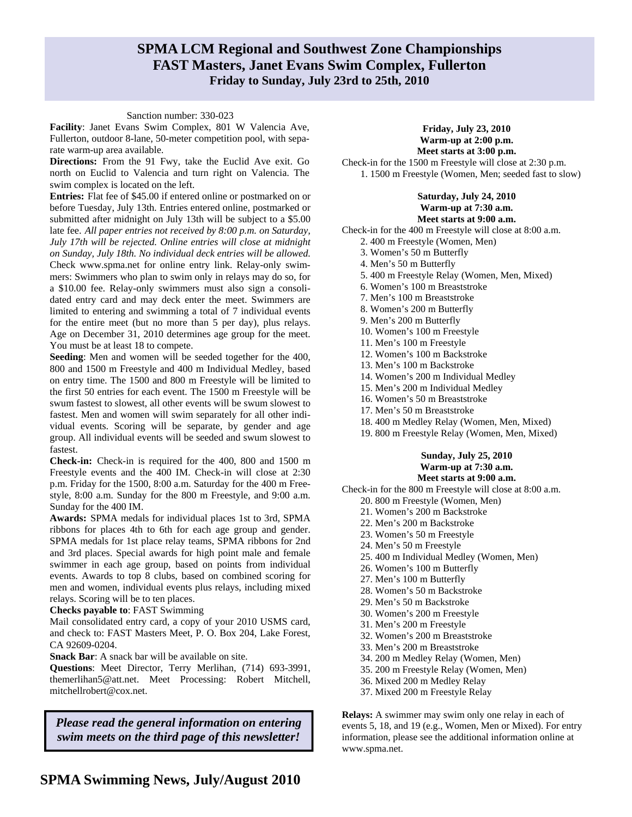## **SPMA LCM Regional and Southwest Zone Championships FAST Masters, Janet Evans Swim Complex, Fullerton Friday to Sunday, July 23rd to 25th, 2010**

#### Sanction number: 330-023

**Facility**: Janet Evans Swim Complex, 801 W Valencia Ave, Fullerton, outdoor 8-lane, 50-meter competition pool, with separate warm-up area available.

**Directions:** From the 91 Fwy, take the Euclid Ave exit. Go north on Euclid to Valencia and turn right on Valencia. The swim complex is located on the left.

**Entries:** Flat fee of \$45.00 if entered online or postmarked on or before Tuesday, July 13th. Entries entered online, postmarked or submitted after midnight on July 13th will be subject to a \$5.00 late fee. *All paper entries not received by 8:00 p.m. on Saturday, July 17th will be rejected. Online entries will close at midnight on Sunday, July 18th. No individual deck entries will be allowed.*  Check www.spma.net for online entry link. Relay-only swimmers: Swimmers who plan to swim only in relays may do so, for a \$10.00 fee. Relay-only swimmers must also sign a consolidated entry card and may deck enter the meet. Swimmers are limited to entering and swimming a total of 7 individual events for the entire meet (but no more than 5 per day), plus relays. Age on December 31, 2010 determines age group for the meet. You must be at least 18 to compete.

**Seeding**: Men and women will be seeded together for the 400, 800 and 1500 m Freestyle and 400 m Individual Medley, based on entry time. The 1500 and 800 m Freestyle will be limited to the first 50 entries for each event. The 1500 m Freestyle will be swum fastest to slowest, all other events will be swum slowest to fastest. Men and women will swim separately for all other individual events. Scoring will be separate, by gender and age group. All individual events will be seeded and swum slowest to fastest.

**Check-in:** Check-in is required for the 400, 800 and 1500 m Freestyle events and the 400 IM. Check-in will close at 2:30 p.m. Friday for the 1500, 8:00 a.m. Saturday for the 400 m Freestyle, 8:00 a.m. Sunday for the 800 m Freestyle, and 9:00 a.m. Sunday for the 400 IM.

**Awards:** SPMA medals for individual places 1st to 3rd, SPMA ribbons for places 4th to 6th for each age group and gender. SPMA medals for 1st place relay teams, SPMA ribbons for 2nd and 3rd places. Special awards for high point male and female swimmer in each age group, based on points from individual events. Awards to top 8 clubs, based on combined scoring for men and women, individual events plus relays, including mixed relays. Scoring will be to ten places.

**Checks payable to**: FAST Swimming

Mail consolidated entry card, a copy of your 2010 USMS card, and check to: FAST Masters Meet, P. O. Box 204, Lake Forest, CA 92609-0204.

**Snack Bar**: A snack bar will be available on site.

**Questions**: Meet Director, Terry Merlihan, (714) 693-3991, themerlihan5@att.net. Meet Processing: Robert Mitchell, mitchellrobert@cox.net.

*Please read the general information on entering swim meets on the third page of this newsletter!* 

### **Friday, July 23, 2010 Warm-up at 2:00 p.m.**

**Meet starts at 3:00 p.m.**  Check-in for the 1500 m Freestyle will close at 2:30 p.m. 1. 1500 m Freestyle (Women, Men; seeded fast to slow)

### **Saturday, July 24, 2010 Warm-up at 7:30 a.m.**

**Meet starts at 9:00 a.m.**  Check-in for the 400 m Freestyle will close at 8:00 a.m.

- 2. 400 m Freestyle (Women, Men)
- 3. Women's 50 m Butterfly
- 4. Men's 50 m Butterfly
- 
- 5. 400 m Freestyle Relay (Women, Men, Mixed)
- 6. Women's 100 m Breaststroke
- 7. Men's 100 m Breaststroke
- 8. Women's 200 m Butterfly
- 9. Men's 200 m Butterfly
- 10. Women's 100 m Freestyle
- 11. Men's 100 m Freestyle
- 12. Women's 100 m Backstroke
- 13. Men's 100 m Backstroke
- 14. Women's 200 m Individual Medley
- 15. Men's 200 m Individual Medley
- 16. Women's 50 m Breaststroke
- 17. Men's 50 m Breaststroke
- 18. 400 m Medley Relay (Women, Men, Mixed)
- 19. 800 m Freestyle Relay (Women, Men, Mixed)

#### **Sunday, July 25, 2010 Warm-up at 7:30 a.m. Meet starts at 9:00 a.m.**

- Check-in for the 800 m Freestyle will close at 8:00 a.m. 20. 800 m Freestyle (Women, Men)
	- 21. Women's 200 m Backstroke
	- 22. Men's 200 m Backstroke
	- 23. Women's 50 m Freestyle
	- 24. Men's 50 m Freestyle
	- 25. 400 m Individual Medley (Women, Men)
	- 26. Women's 100 m Butterfly
	- 27. Men's 100 m Butterfly
	- 28. Women's 50 m Backstroke
	- 29. Men's 50 m Backstroke
	- 30. Women's 200 m Freestyle
	- 31. Men's 200 m Freestyle
	- 32. Women's 200 m Breaststroke
	- 33. Men's 200 m Breaststroke
	- 34. 200 m Medley Relay (Women, Men)
	- 35. 200 m Freestyle Relay (Women, Men)
	- 36. Mixed 200 m Medley Relay
	- 37. Mixed 200 m Freestyle Relay

**Relays:** A swimmer may swim only one relay in each of events 5, 18, and 19 (e.g., Women, Men or Mixed). For entry information, please see the additional information online at www.spma.net.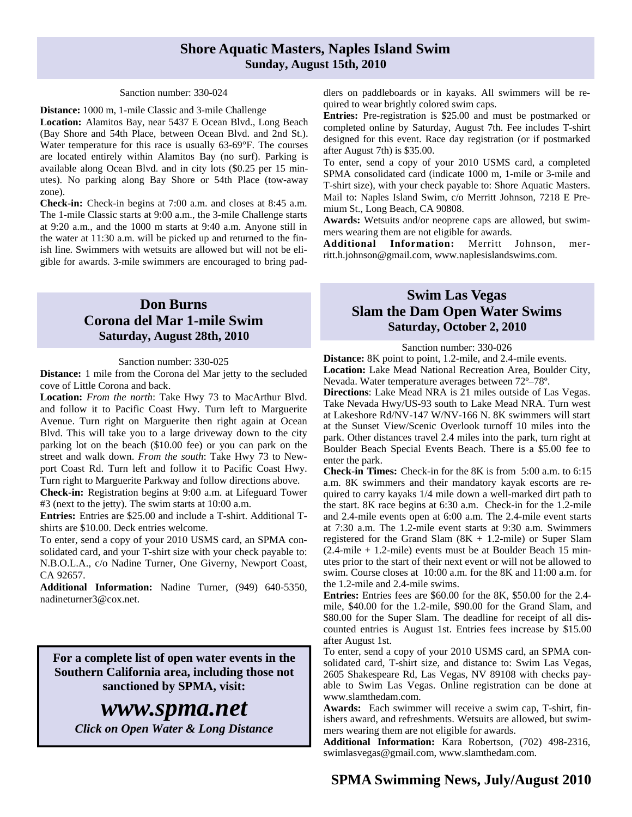## **Shore Aquatic Masters, Naples Island Swim Sunday, August 15th, 2010**

#### Sanction number: 330-024

**Distance:** 1000 m, 1-mile Classic and 3-mile Challenge **Location:** Alamitos Bay, near 5437 E Ocean Blvd., Long Beach (Bay Shore and 54th Place, between Ocean Blvd. and 2nd St.). Water temperature for this race is usually 63-69°F. The courses are located entirely within Alamitos Bay (no surf). Parking is available along Ocean Blvd. and in city lots (\$0.25 per 15 minutes). No parking along Bay Shore or 54th Place (tow-away zone).

**Check-in:** Check-in begins at 7:00 a.m. and closes at 8:45 a.m. The 1-mile Classic starts at 9:00 a.m., the 3-mile Challenge starts at 9:20 a.m., and the 1000 m starts at 9:40 a.m. Anyone still in the water at 11:30 a.m. will be picked up and returned to the finish line. Swimmers with wetsuits are allowed but will not be eligible for awards. 3-mile swimmers are encouraged to bring pad-

## **Don Burns Corona del Mar 1-mile Swim Saturday, August 28th, 2010**

#### Sanction number: 330-025

**Distance:** 1 mile from the Corona del Mar jetty to the secluded cove of Little Corona and back.

**Location:** *From the north*: Take Hwy 73 to MacArthur Blvd. and follow it to Pacific Coast Hwy. Turn left to Marguerite Avenue. Turn right on Marguerite then right again at Ocean Blvd. This will take you to a large driveway down to the city parking lot on the beach (\$10.00 fee) or you can park on the street and walk down. *From the south*: Take Hwy 73 to Newport Coast Rd. Turn left and follow it to Pacific Coast Hwy. Turn right to Marguerite Parkway and follow directions above.

**Check-in:** Registration begins at 9:00 a.m. at Lifeguard Tower #3 (next to the jetty). The swim starts at 10:00 a.m.

**Entries:** Entries are \$25.00 and include a T-shirt. Additional Tshirts are \$10.00. Deck entries welcome.

To enter, send a copy of your 2010 USMS card, an SPMA consolidated card, and your T-shirt size with your check payable to: N.B.O.L.A., c/o Nadine Turner, One Giverny, Newport Coast, CA 92657.

**Additional Information:** Nadine Turner, (949) 640-5350, nadineturner3@cox.net.

**For a complete list of open water events in the Southern California area, including those not sanctioned by SPMA, visit:** 

*www.spma.net Click on Open Water & Long Distance*  dlers on paddleboards or in kayaks. All swimmers will be required to wear brightly colored swim caps.

**Entries:** Pre-registration is \$25.00 and must be postmarked or completed online by Saturday, August 7th. Fee includes T-shirt designed for this event. Race day registration (or if postmarked after August 7th) is \$35.00.

To enter, send a copy of your 2010 USMS card, a completed SPMA consolidated card (indicate 1000 m, 1-mile or 3-mile and T-shirt size), with your check payable to: Shore Aquatic Masters. Mail to: Naples Island Swim, c/o Merritt Johnson, 7218 E Premium St., Long Beach, CA 90808.

**Awards:** Wetsuits and/or neoprene caps are allowed, but swimmers wearing them are not eligible for awards.

**Additional Information:** Merritt Johnson, merritt.h.johnson@gmail.com, www.naplesislandswims.com.

## **Swim Las Vegas Slam the Dam Open Water Swims Saturday, October 2, 2010**

Sanction number: 330-026

**Distance:** 8K point to point, 1.2-mile, and 2.4-mile events. **Location:** Lake Mead National Recreation Area, Boulder City, Nevada. Water temperature averages between 72º–78º.

**Directions**: Lake Mead NRA is 21 miles outside of Las Vegas. Take Nevada Hwy/US-93 south to Lake Mead NRA. Turn west at Lakeshore Rd/NV-147 W/NV-166 N. 8K swimmers will start at the Sunset View/Scenic Overlook turnoff 10 miles into the park. Other distances travel 2.4 miles into the park, turn right at Boulder Beach Special Events Beach. There is a \$5.00 fee to enter the park.

**Check-in Times:** Check-in for the 8K is from 5:00 a.m. to 6:15 a.m. 8K swimmers and their mandatory kayak escorts are required to carry kayaks 1/4 mile down a well-marked dirt path to the start. 8K race begins at 6:30 a.m. Check-in for the 1.2-mile and 2.4-mile events open at 6:00 a.m. The 2.4-mile event starts at 7:30 a.m. The 1.2-mile event starts at 9:30 a.m. Swimmers registered for the Grand Slam (8K + 1.2-mile) or Super Slam (2.4-mile + 1.2-mile) events must be at Boulder Beach 15 minutes prior to the start of their next event or will not be allowed to swim. Course closes at 10:00 a.m. for the 8K and 11:00 a.m. for the 1.2-mile and 2.4-mile swims.

**Entries:** Entries fees are \$60.00 for the 8K, \$50.00 for the 2.4 mile, \$40.00 for the 1.2-mile, \$90.00 for the Grand Slam, and \$80.00 for the Super Slam. The deadline for receipt of all discounted entries is August 1st. Entries fees increase by \$15.00 after August 1st.

To enter, send a copy of your 2010 USMS card, an SPMA consolidated card, T-shirt size, and distance to: Swim Las Vegas, 2605 Shakespeare Rd, Las Vegas, NV 89108 with checks payable to Swim Las Vegas. Online registration can be done at www.slamthedam.com.

**Awards:** Each swimmer will receive a swim cap, T-shirt, finishers award, and refreshments. Wetsuits are allowed, but swimmers wearing them are not eligible for awards.

**Additional Information:** Kara Robertson, (702) 498-2316, swimlasvegas@gmail.com, www.slamthedam.com.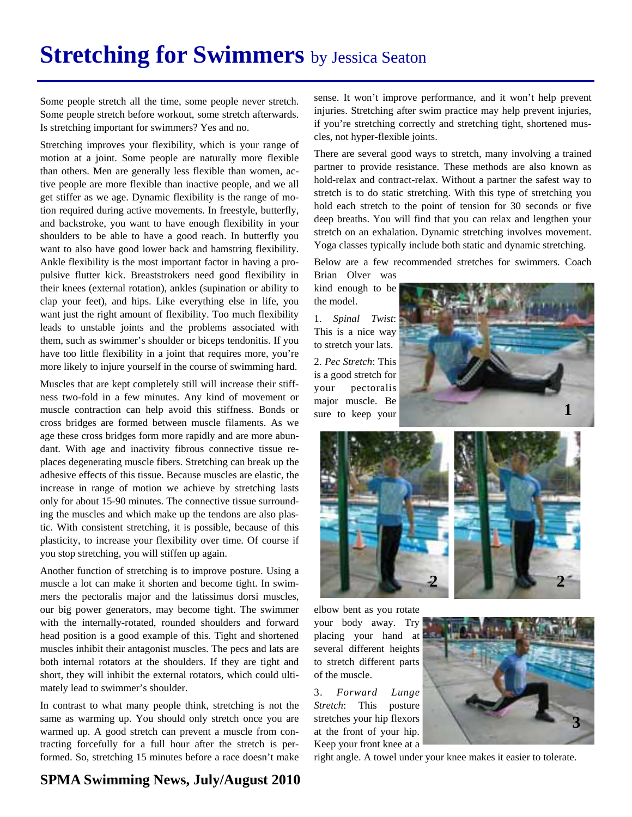# **Stretching for Swimmers** by Jessica Seaton

Some people stretch all the time, some people never stretch. Some people stretch before workout, some stretch afterwards. Is stretching important for swimmers? Yes and no.

Stretching improves your flexibility, which is your range of motion at a joint. Some people are naturally more flexible than others. Men are generally less flexible than women, active people are more flexible than inactive people, and we all get stiffer as we age. Dynamic flexibility is the range of motion required during active movements. In freestyle, butterfly, and backstroke, you want to have enough flexibility in your shoulders to be able to have a good reach. In butterfly you want to also have good lower back and hamstring flexibility. Ankle flexibility is the most important factor in having a propulsive flutter kick. Breaststrokers need good flexibility in their knees (external rotation), ankles (supination or ability to clap your feet), and hips. Like everything else in life, you want just the right amount of flexibility. Too much flexibility leads to unstable joints and the problems associated with them, such as swimmer's shoulder or biceps tendonitis. If you have too little flexibility in a joint that requires more, you're more likely to injure yourself in the course of swimming hard.

Muscles that are kept completely still will increase their stiffness two-fold in a few minutes. Any kind of movement or muscle contraction can help avoid this stiffness. Bonds or cross bridges are formed between muscle filaments. As we age these cross bridges form more rapidly and are more abundant. With age and inactivity fibrous connective tissue replaces degenerating muscle fibers. Stretching can break up the adhesive effects of this tissue. Because muscles are elastic, the increase in range of motion we achieve by stretching lasts only for about 15-90 minutes. The connective tissue surrounding the muscles and which make up the tendons are also plastic. With consistent stretching, it is possible, because of this plasticity, to increase your flexibility over time. Of course if you stop stretching, you will stiffen up again.

Another function of stretching is to improve posture. Using a muscle a lot can make it shorten and become tight. In swimmers the pectoralis major and the latissimus dorsi muscles, our big power generators, may become tight. The swimmer with the internally-rotated, rounded shoulders and forward head position is a good example of this. Tight and shortened muscles inhibit their antagonist muscles. The pecs and lats are both internal rotators at the shoulders. If they are tight and short, they will inhibit the external rotators, which could ultimately lead to swimmer's shoulder.

In contrast to what many people think, stretching is not the same as warming up. You should only stretch once you are warmed up. A good stretch can prevent a muscle from contracting forcefully for a full hour after the stretch is performed. So, stretching 15 minutes before a race doesn't make

sense. It won't improve performance, and it won't help prevent injuries. Stretching after swim practice may help prevent injuries, if you're stretching correctly and stretching tight, shortened muscles, not hyper-flexible joints.

There are several good ways to stretch, many involving a trained partner to provide resistance. These methods are also known as hold-relax and contract-relax. Without a partner the safest way to stretch is to do static stretching. With this type of stretching you hold each stretch to the point of tension for 30 seconds or five deep breaths. You will find that you can relax and lengthen your stretch on an exhalation. Dynamic stretching involves movement. Yoga classes typically include both static and dynamic stretching.

Below are a few recommended stretches for swimmers. Coach Brian Olver was

kind enough to be the model.

1. *Spinal Twist*: This is a nice way to stretch your lats. 2. *Pec Stretch*: This is a good stretch for your pectoralis major muscle. Be sure to keep your





elbow bent as you rotate your body away. Try placing your hand at several different heights to stretch different parts of the muscle.

3. *Forward Lunge Stretch*: This posture stretches your hip flexors at the front of your hip. Keep your front knee at a



right angle. A towel under your knee makes it easier to tolerate.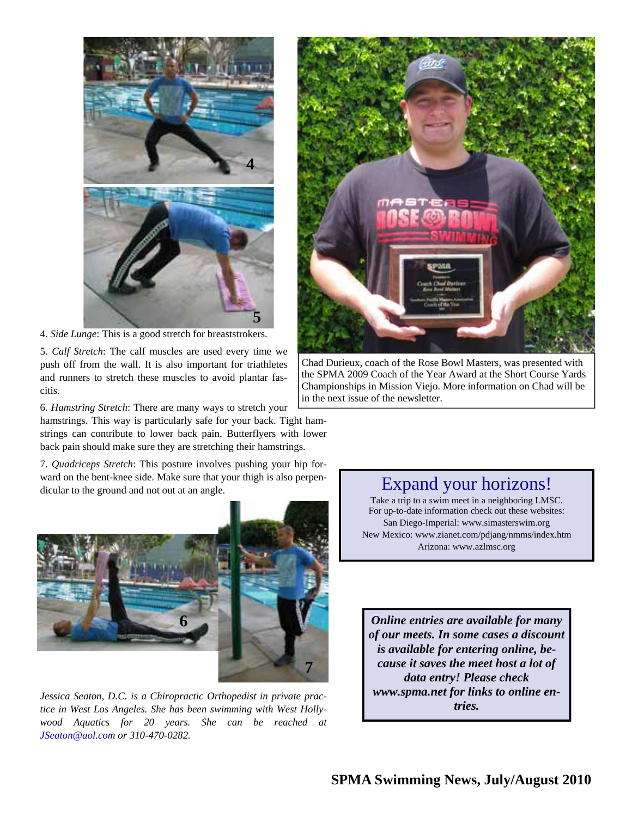

4. *Side Lunge*: This is a good stretch for breaststrokers.

5. *Calf Stretch*: The calf muscles are used every time we push off from the wall. It is also important for triathletes and runners to stretch these muscles to avoid plantar fascitis.

6. *Hamstring Stretch*: There are many ways to stretch your

hamstrings. This way is particularly safe for your back. Tight hamstrings can contribute to lower back pain. Butterflyers with lower back pain should make sure they are stretching their hamstrings.

7. *Quadriceps Stretch*: This posture involves pushing your hip forward on the bent-knee side. Make sure that your thigh is also perpendicular to the ground and not out at an angle.



*Jessica Seaton, D.C. is a Chiropractic Orthopedist in private practice in West Los Angeles. She has been swimming with West Hollywood Aquatics for 20 years. She can be reached at JSeaton@aol.com or 310-470-0282.*



Chad Durieux, coach of the Rose Bowl Masters, was presented with the SPMA 2009 Coach of the Year Award at the Short Course Yards Championships in Mission Viejo. More information on Chad will be in the next issue of the newsletter.

## Expand your horizons!

Take a trip to a swim meet in a neighboring LMSC. For up-to-date information check out these websites: San Diego-Imperial: www.simasterswim.org New Mexico: www.zianet.com/pdjang/nmms/index.htm Arizona: www.azlmsc.org

*Online entries are available for many of our meets. In some cases a discount is available for entering online, because it saves the meet host a lot of data entry! Please check www.spma.net for links to online entries.*